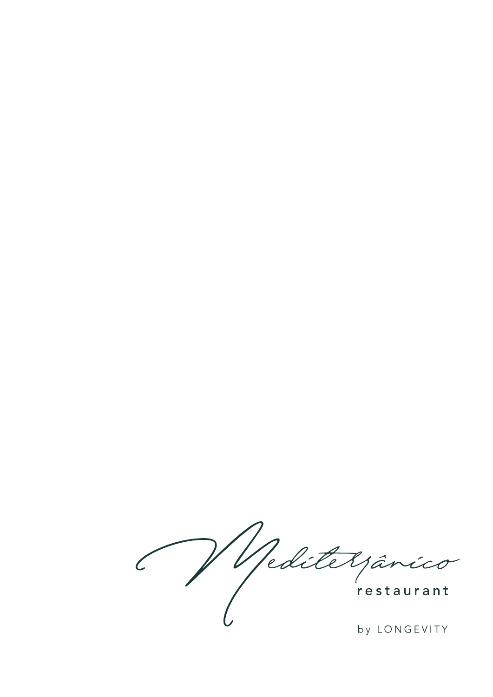Réditelpânico

by LONGEVITY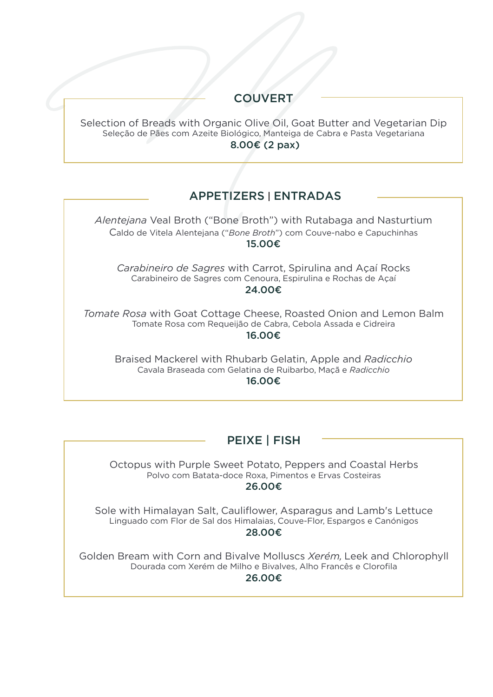# **COUVERT**

Selection of Breads with Organic Olive Oil, Goat Butter and Vegetarian Dip Seleção de Pães com Azeite Biológico, Manteiga de Cabra e Pasta Vegetariana  $8.00\epsilon$  (2 pax)

## APPETIZERS | ENTRADAS

Alentejana Veal Broth ("Bone Broth") with Rutabaga and Nasturtium Caldo de Vitela Alentejana ("Bone Broth") com Couve-nabo e Capuchinhas 15.00€

Carabineiro de Sagres with Carrot, Spirulina and Acaí Rocks Carabineiro de Sagres com Cenoura. Espirulina e Rochas de Acaí 24.00€

Tomate Rosa with Goat Cottage Cheese, Roasted Onion and Lemon Balm Tomate Rosa com Requeijão de Cabra, Cebola Assada e Cidreira 16.00€

**Braised Mackerel with Rhubarb Gelatin, Apple and Radicchio** Cavala Braseada com Gelatina de Ruibarbo, Maçã e Radicchio 16.00€

#### PEIXE | FISH

Octopus with Purple Sweet Potato, Peppers and Coastal Herbs Polvo com Batata-doce Roxa, Pimentos e Ervas Costeiras 26.00€

Sole with Himalayan Salt, Cauliflower, Asparagus and Lamb's Lettuce Linguado com Flor de Sal dos Himalaias, Couve-Flor, Espargos e Canónigos 28.00€

Golden Bream with Corn and Bivalve Molluscs Xerém, Leek and Chlorophyll Dourada com Xerém de Milho e Bivalves. Alho Francês e Clorofila

26.00€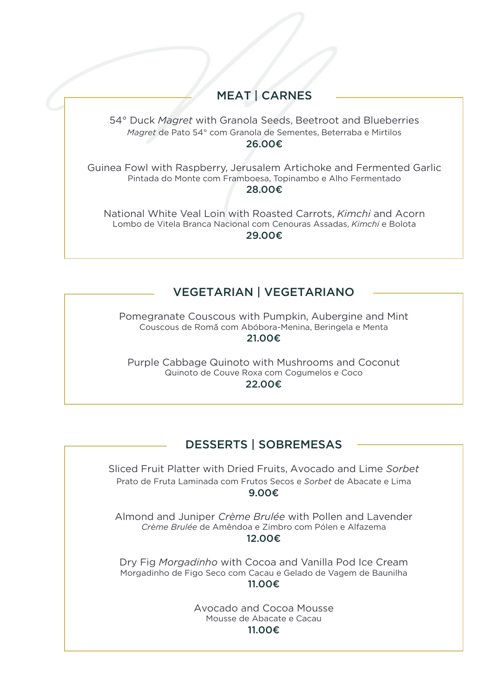### **MEAT | CARNES**

54° Duck *Magret* with Granola Seeds, Beetroot and Blueberries Magret de Pato 54° com Granola de Sementes, Beterraba e Mirtilos

26.00€

Guinea Fowl with Raspberry, Jerusalem Artichoke and Fermented Garlic Pintada do Monte com Framboesa, Topinambo e Alho Fermentado 28.00€

National White Veal Loin with Roasted Carrots, *Kimchi* and Acorn Lombo de Vitela Branca Nacional com Cenouras Assadas, Kimchi e Bolota 29.00€

### VEGETARIAN | VEGETARIANO

Pomegranate Couscous with Pumpkin, Aubergine and Mint Couscous de Romã com Abóbora-Menina, Beringela e Menta 21.00€

Purple Cabbage Quinoto with Mushrooms and Coconut Quinoto de Couve Roxa com Cogumelos e Coco 22.00€

# DESSERTS | SOBREMESAS

Sliced Fruit Platter with Dried Fruits, Avocado and Lime Sorbet Prato de Fruta Laminada com Frutos Secos e Sorbet de Abacate e Lima 9.00€

Almond and Juniper *Crème Brulée* with Pollen and Lavender Crème Brulée de Amêndoa e Zimbro com Pólen e Alfazema 12.00€

Dry Fig Morgadinho with Cocoa and Vanilla Pod Ice Cream Morgadinho de Figo Seco com Cacau e Gelado de Vagem de Baunilha 11.00€

> Avocado and Cocoa Mousse Mousse de Abacate e Cacau

#### 11.00€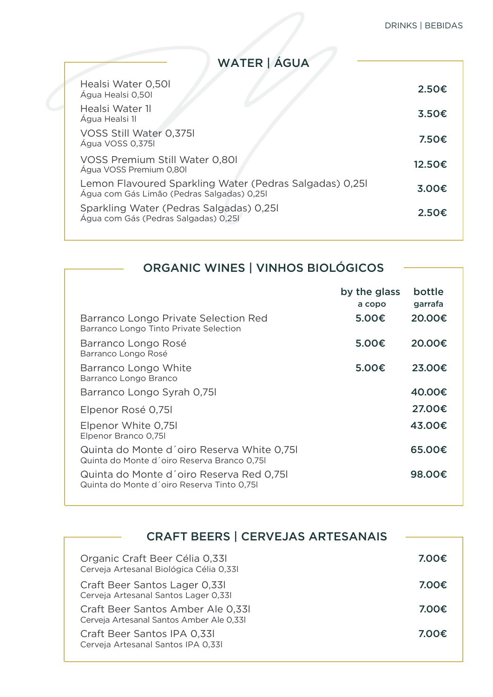WATER | ÁGUA

| Healsi Water 0,50I<br>Água Healsi 0,50l                                                               | 2.50E  |
|-------------------------------------------------------------------------------------------------------|--------|
| Healsi Water 1<br>Água Healsi 1                                                                       | 3.50€  |
| VOSS Still Water 0,375<br>Água VOSS 0.375                                                             | 7.50€  |
| VOSS Premium Still Water 0,801<br>Água VOSS Premium 0,801                                             | 12.50€ |
| Lemon Flavoured Sparkling Water (Pedras Salgadas) 0,25l<br>Água com Gás Limão (Pedras Salgadas) 0,251 | 3.00€  |
| Sparkling Water (Pedras Salgadas) 0,251<br>Água com Gás (Pedras Salgadas) 0,251                       | 2.50€  |
|                                                                                                       |        |

| ORGANIC WINES   VINHOS BIOLÓGICOS                                                         |                        |                   |
|-------------------------------------------------------------------------------------------|------------------------|-------------------|
|                                                                                           |                        |                   |
|                                                                                           | by the glass<br>a copo | bottle<br>garrafa |
| Barranco Longo Private Selection Red<br>Barranco Longo Tinto Private Selection            | 5.00€                  | 20,00€            |
| Barranco Longo Rosé<br>Barranco Longo Rosé                                                | 5.00€                  | 20.00€            |
| Barranco Longo White<br>Barranco Longo Branco                                             | 5.00€                  | 23,00€            |
| Barranco Longo Syrah 0,751                                                                |                        | 40,00€            |
| Elpenor Rosé 0,751                                                                        |                        | 27.00€            |
| Elpenor White 0,751<br>Elpenor Branco 0,75l                                               |                        | 43,00€            |
| Quinta do Monte d'oiro Reserva White 0,751<br>Quinta do Monte d'oiro Reserva Branco 0,751 |                        | 65,00€            |
| Quinta do Monte d'oiro Reserva Red 0.751<br>Quinta do Monte d'oiro Reserva Tinto 0,751    |                        | 98,00€            |

| <b>CRAFT BEERS   CERVEJAS ARTESANAIS</b>                                      |       |
|-------------------------------------------------------------------------------|-------|
|                                                                               |       |
| Organic Craft Beer Célia 0,331<br>Cerveja Artesanal Biológica Célia 0,331     | 7.00€ |
| Craft Beer Santos Lager 0.331<br>Cerveja Artesanal Santos Lager 0,331         | 7.00€ |
| Craft Beer Santos Amber Ale 0.331<br>Cerveja Artesanal Santos Amber Ale 0,331 | 7.00€ |
| Craft Beer Santos IPA 0,331<br>Cerveja Artesanal Santos IPA 0,331             | 7.00€ |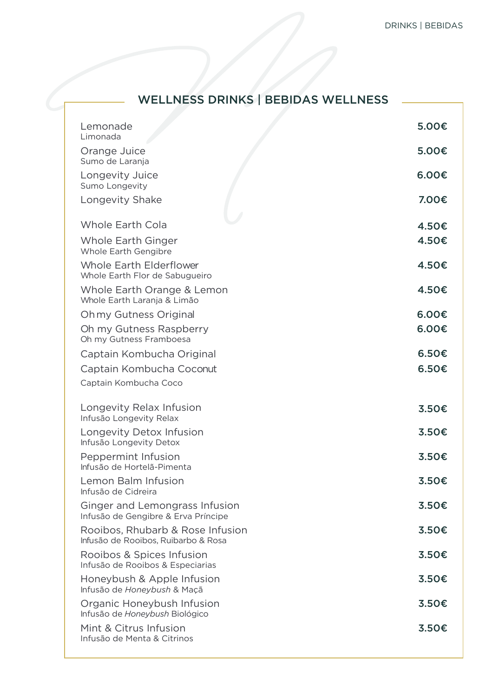# WELLNESS DRINKS | BEBIDAS WELLNESS

| Lemonade<br>Limonada                                                    | 5.00€ |
|-------------------------------------------------------------------------|-------|
| Orange Juice<br>Sumo de Laranja                                         | 5.00€ |
| Longevity Juice<br>Sumo Longevity                                       | 6.00€ |
| Longevity Shake                                                         | 7.00€ |
| <b>Whole Earth Cola</b>                                                 | 4.50€ |
| Whole Earth Ginger<br>Whole Earth Gengibre                              | 4.50€ |
| Whole Earth Elderflower<br>Whole Earth Flor de Sabugueiro               | 4.50€ |
| Whole Earth Orange & Lemon<br>Whole Earth Laranja & Limão               | 4.50€ |
| Ohmy Gutness Original                                                   | 6.00€ |
| Oh my Gutness Raspberry<br>Oh my Gutness Framboesa                      | 6.00€ |
| Captain Kombucha Original                                               | 6.50€ |
| Captain Kombucha Coconut                                                | 6.50€ |
| Captain Kombucha Coco                                                   |       |
| Longevity Relax Infusion<br>Infusão Longevity Relax                     | 3.50€ |
| Longevity Detox Infusion<br>Infusão Longevity Detox                     | 3.50€ |
| Peppermint Infusion<br>Infusão de Hortelã-Pimenta                       | 3.50€ |
| Lemon Balm Infusion<br>Infusão de Cidreira                              | 3.50€ |
| Ginger and Lemongrass Infusion<br>Infusão de Gengibre & Erva Príncipe   | 3.50€ |
| Rooibos, Rhubarb & Rose Infusion<br>Infusão de Rooibos, Ruibarbo & Rosa | 3.50€ |
| Rooibos & Spices Infusion<br>Infusão de Rooibos & Especiarias           | 3.50€ |
| Honeybush & Apple Infusion<br>Infusão de Honeybush & Maçã               | 3.50€ |
| Organic Honeybush Infusion<br>Infusão de Honeybush Biológico            | 3.50€ |
| Mint & Citrus Infusion<br>Infusão de Menta & Citrinos                   | 3.50€ |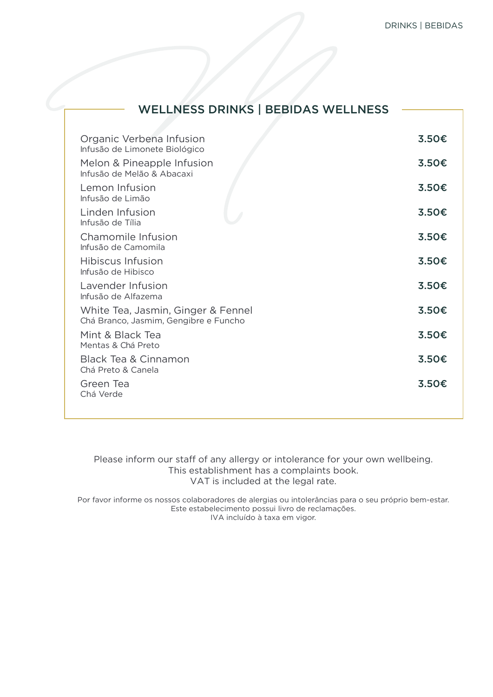| <b>WELLNESS DRINKS   BEBIDAS WELLNESS</b>                                   |       |
|-----------------------------------------------------------------------------|-------|
|                                                                             |       |
| Organic Verbena Infusion<br>Infusão de Limonete Biológico                   | 3.50€ |
| Melon & Pineapple Infusion<br>Infusão de Melão & Abacaxi                    | 3.50€ |
| Lemon Infusion<br>Infusão de Limão                                          | 3.50€ |
| Linden Infusion<br>Infusão de Tília                                         | 3.50€ |
| Chamomile Infusion<br>Infusão de Camomila                                   | 3.50€ |
| Hibiscus Infusion<br>Infusão de Hibisco                                     | 3.50€ |
| Lavender Infusion<br>Infusão de Alfazema                                    | 3.50€ |
| White Tea, Jasmin, Ginger & Fennel<br>Chá Branco, Jasmim, Gengibre e Funcho | 3.50€ |
| Mint & Black Tea<br>Mentas & Chá Preto                                      | 3.50€ |
| Black Tea & Cinnamon<br>Chá Preto & Canela                                  | 3.50€ |
| Green Tea<br>Chá Verde                                                      | 3.50€ |
|                                                                             |       |

Please inform our staff of any allergy or intolerance for your own wellbeing. This establishment has a complaints book. VAT is included at the legal rate.

Por favor informe os nossos colaboradores de alergias ou intolerâncias para o seu próprio bem-estar. Este estabelecimento possui livro de reclamações. IVA incluído à taxa em vigor.